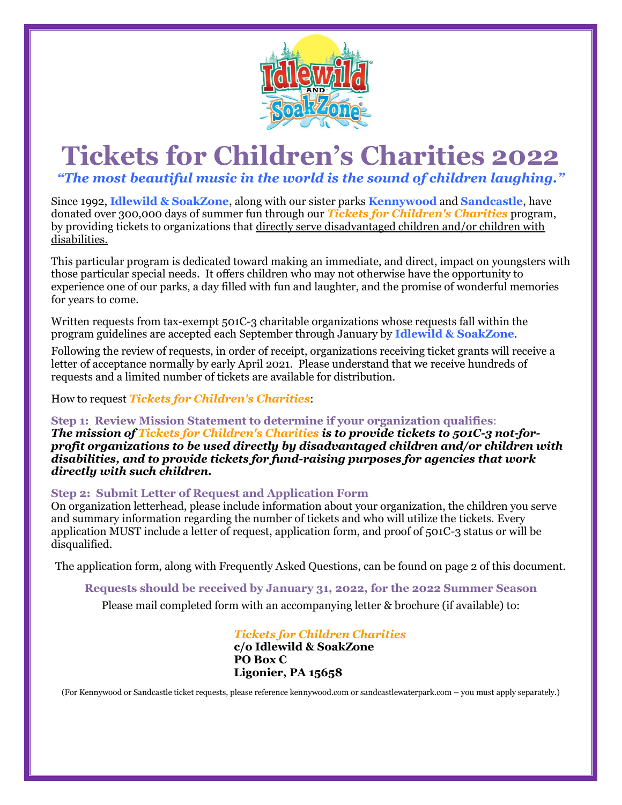

# **Tickets for Children's Charities 2022**

*"The most beautiful music in the world is the sound of children laughing."*

Since 1992, **Idlewild & SoakZone**, along with our sister parks **Kennywood** and **Sandcastle**, have donated over 300,000 days of summer fun through our *Tickets for Children's Charities* program, by providing tickets to organizations that directly serve disadvantaged children and/or children with disabilities.

This particular program is dedicated toward making an immediate, and direct, impact on youngsters with those particular special needs. It offers children who may not otherwise have the opportunity to experience one of our parks, a day filled with fun and laughter, and the promise of wonderful memories for years to come.

Written requests from tax-exempt 501C-3 charitable organizations whose requests fall within the program guidelines are accepted each September through January by **Idlewild & SoakZone**.

Following the review of requests, in order of receipt, organizations receiving ticket grants will receive a letter of acceptance normally by early April 2021. Please understand that we receive hundreds of requests and a limited number of tickets are available for distribution.

How to request *Tickets for Children's Charities*:

**Step 1: Review Mission Statement to determine if your organization qualifies**: *The mission of Tickets for Children's Charities is to provide tickets to 501C-3 not-forprofit organizations to be used directly by disadvantaged children and/or children with disabilities, and to provide tickets for fund-raising purposes for agencies that work directly with such children.*

#### **Step 2: Submit Letter of Request and Application Form**

On organization letterhead, please include information about your organization, the children you serve and summary information regarding the number of tickets and who will utilize the tickets. Every application MUST include a letter of request, application form, and proof of 501C-3 status or will be disqualified.

The application form, along with Frequently Asked Questions, can be found on page 2 of this document.

**Requests should be received by January 31, 2022, for the 2022 Summer Season**

Please mail completed form with an accompanying letter & brochure (if available) to:

*Tickets for Children Charities* **c/o Idlewild & SoakZone PO Box C Ligonier, PA 15658**

(For Kennywood or Sandcastle ticket requests, please reference kennywood.com or sandcastlewaterpark.com – you must apply separately.)